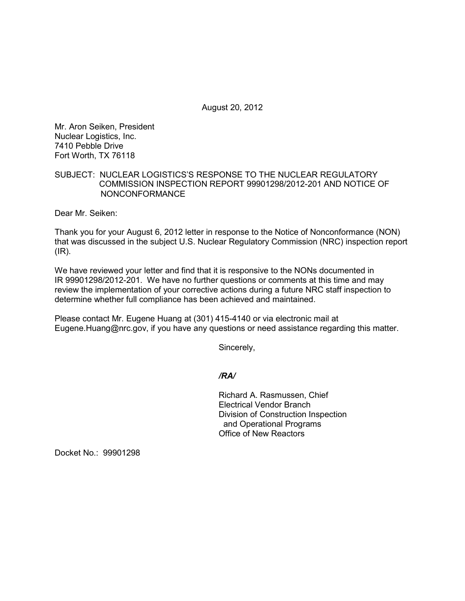August 20, 2012

Mr. Aron Seiken, President Nuclear Logistics, Inc. 7410 Pebble Drive Fort Worth, TX 76118

## SUBJECT: NUCLEAR LOGISTICS'S RESPONSE TO THE NUCLEAR REGULATORY COMMISSION INSPECTION REPORT 99901298/2012-201 AND NOTICE OF NONCONFORMANCE

Dear Mr. Seiken:

Thank you for your August 6, 2012 letter in response to the Notice of Nonconformance (NON) that was discussed in the subject U.S. Nuclear Regulatory Commission (NRC) inspection report (IR).

We have reviewed your letter and find that it is responsive to the NONs documented in IR 99901298/2012-201. We have no further questions or comments at this time and may review the implementation of your corrective actions during a future NRC staff inspection to determine whether full compliance has been achieved and maintained.

Please contact Mr. Eugene Huang at (301) 415-4140 or via electronic mail at Eugene.Huang@nrc.gov, if you have any questions or need assistance regarding this matter.

Sincerely,

*/RA/*

Richard A. Rasmussen, Chief Electrical Vendor Branch Division of Construction Inspection and Operational Programs Office of New Reactors

Docket No.: 99901298